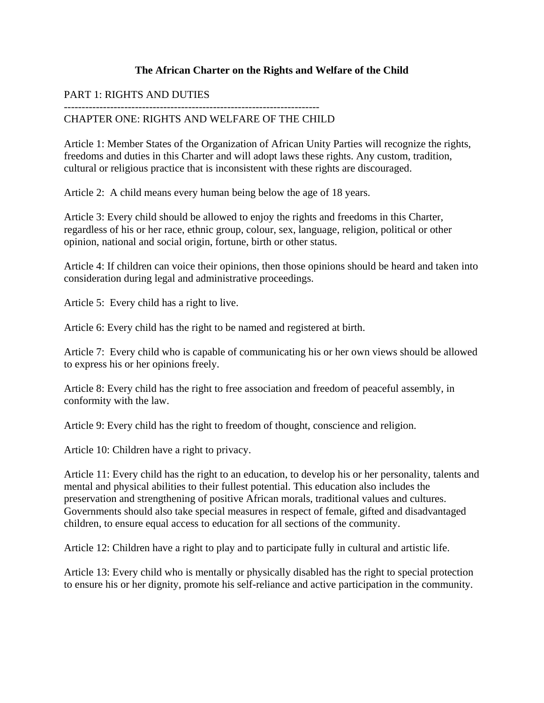# **The African Charter on the Rights and Welfare of the Child**

# PART 1: RIGHTS AND DUTIES

#### ------------------------------------------------------------------------ CHAPTER ONE: RIGHTS AND WELFARE OF THE CHILD

Article 1: Member States of the Organization of African Unity Parties will recognize the rights, freedoms and duties in this Charter and will adopt laws these rights. Any custom, tradition, cultural or religious practice that is inconsistent with these rights are discouraged.

Article 2: A child means every human being below the age of 18 years.

Article 3: Every child should be allowed to enjoy the rights and freedoms in this Charter, regardless of his or her race, ethnic group, colour, sex, language, religion, political or other opinion, national and social origin, fortune, birth or other status.

Article 4: If children can voice their opinions, then those opinions should be heard and taken into consideration during legal and administrative proceedings.

Article 5: Every child has a right to live.

Article 6: Every child has the right to be named and registered at birth.

Article 7: Every child who is capable of communicating his or her own views should be allowed to express his or her opinions freely.

Article 8: Every child has the right to free association and freedom of peaceful assembly, in conformity with the law.

Article 9: Every child has the right to freedom of thought, conscience and religion.

Article 10: Children have a right to privacy.

Article 11: Every child has the right to an education, to develop his or her personality, talents and mental and physical abilities to their fullest potential. This education also includes the preservation and strengthening of positive African morals, traditional values and cultures. Governments should also take special measures in respect of female, gifted and disadvantaged children, to ensure equal access to education for all sections of the community.

Article 12: Children have a right to play and to participate fully in cultural and artistic life.

Article 13: Every child who is mentally or physically disabled has the right to special protection to ensure his or her dignity, promote his self-reliance and active participation in the community.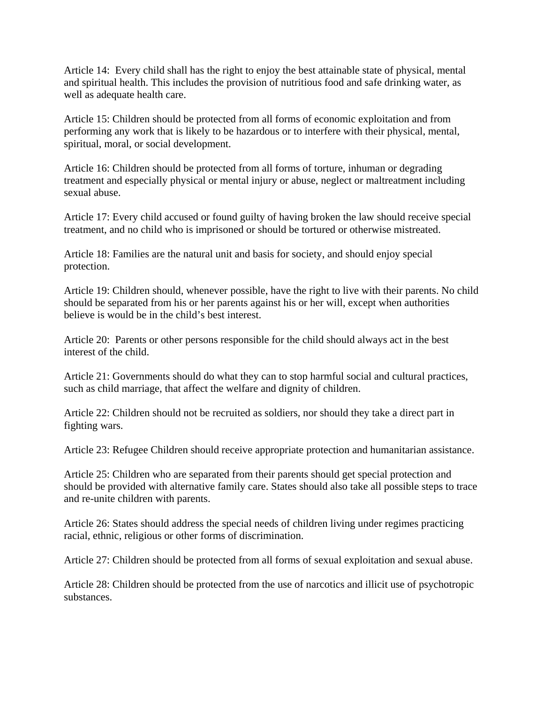Article 14: Every child shall has the right to enjoy the best attainable state of physical, mental and spiritual health. This includes the provision of nutritious food and safe drinking water, as well as adequate health care.

Article 15: Children should be protected from all forms of economic exploitation and from performing any work that is likely to be hazardous or to interfere with their physical, mental, spiritual, moral, or social development.

Article 16: Children should be protected from all forms of torture, inhuman or degrading treatment and especially physical or mental injury or abuse, neglect or maltreatment including sexual abuse.

Article 17: Every child accused or found guilty of having broken the law should receive special treatment, and no child who is imprisoned or should be tortured or otherwise mistreated.

Article 18: Families are the natural unit and basis for society, and should enjoy special protection.

Article 19: Children should, whenever possible, have the right to live with their parents. No child should be separated from his or her parents against his or her will, except when authorities believe is would be in the child's best interest.

Article 20: Parents or other persons responsible for the child should always act in the best interest of the child.

Article 21: Governments should do what they can to stop harmful social and cultural practices, such as child marriage, that affect the welfare and dignity of children.

Article 22: Children should not be recruited as soldiers, nor should they take a direct part in fighting wars.

Article 23: Refugee Children should receive appropriate protection and humanitarian assistance.

Article 25: Children who are separated from their parents should get special protection and should be provided with alternative family care. States should also take all possible steps to trace and re-unite children with parents.

Article 26: States should address the special needs of children living under regimes practicing racial, ethnic, religious or other forms of discrimination.

Article 27: Children should be protected from all forms of sexual exploitation and sexual abuse.

Article 28: Children should be protected from the use of narcotics and illicit use of psychotropic substances.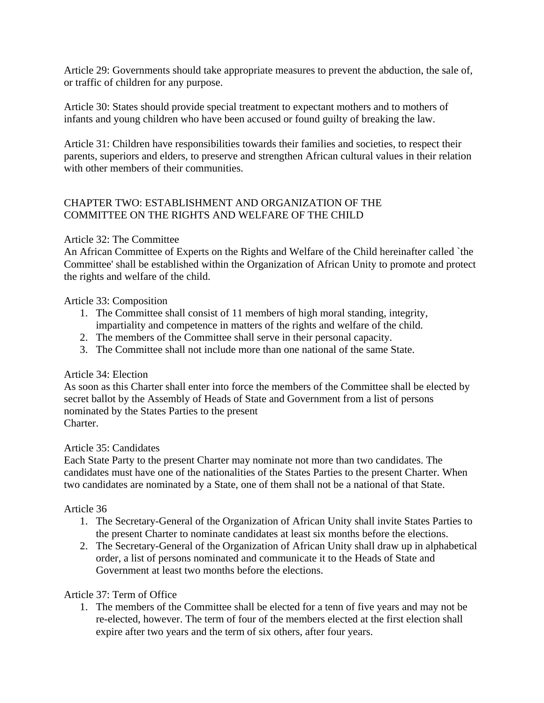Article 29: Governments should take appropriate measures to prevent the abduction, the sale of, or traffic of children for any purpose.

Article 30: States should provide special treatment to expectant mothers and to mothers of infants and young children who have been accused or found guilty of breaking the law.

Article 31: Children have responsibilities towards their families and societies, to respect their parents, superiors and elders, to preserve and strengthen African cultural values in their relation with other members of their communities.

# CHAPTER TWO: ESTABLISHMENT AND ORGANIZATION OF THE COMMITTEE ON THE RIGHTS AND WELFARE OF THE CHILD

## Article 32: The Committee

An African Committee of Experts on the Rights and Welfare of the Child hereinafter called `the Committee' shall be established within the Organization of African Unity to promote and protect the rights and welfare of the child.

### Article 33: Composition

- 1. The Committee shall consist of 11 members of high moral standing, integrity, impartiality and competence in matters of the rights and welfare of the child.
- 2. The members of the Committee shall serve in their personal capacity.
- 3. The Committee shall not include more than one national of the same State.

### Article 34: Election

As soon as this Charter shall enter into force the members of the Committee shall be elected by secret ballot by the Assembly of Heads of State and Government from a list of persons nominated by the States Parties to the present Charter.

### Article 35: Candidates

Each State Party to the present Charter may nominate not more than two candidates. The candidates must have one of the nationalities of the States Parties to the present Charter. When two candidates are nominated by a State, one of them shall not be a national of that State.

### Article 36

- 1. The Secretary-General of the Organization of African Unity shall invite States Parties to the present Charter to nominate candidates at least six months before the elections.
- 2. The Secretary-General of the Organization of African Unity shall draw up in alphabetical order, a list of persons nominated and communicate it to the Heads of State and Government at least two months before the elections.

### Article 37: Term of Office

1. The members of the Committee shall be elected for a tenn of five years and may not be re-elected, however. The term of four of the members elected at the first election shall expire after two years and the term of six others, after four years.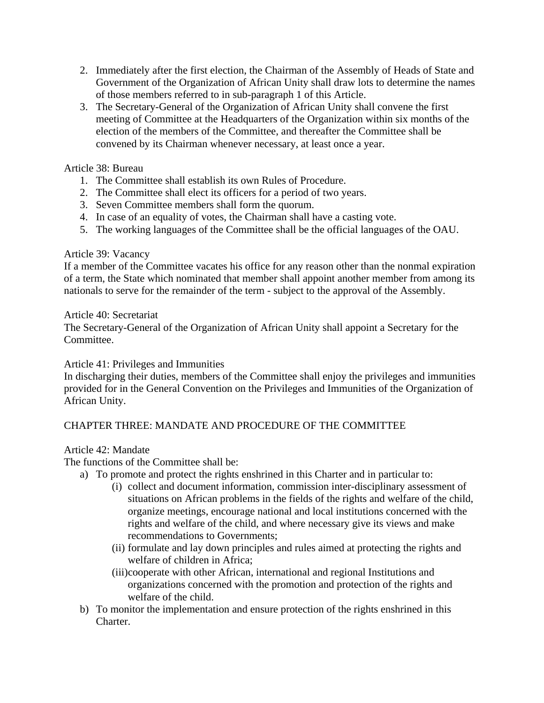- 2. Immediately after the first election, the Chairman of the Assembly of Heads of State and Government of the Organization of African Unity shall draw lots to determine the names of those members referred to in sub-paragraph 1 of this Article.
- 3. The Secretary-General of the Organization of African Unity shall convene the first meeting of Committee at the Headquarters of the Organization within six months of the election of the members of the Committee, and thereafter the Committee shall be convened by its Chairman whenever necessary, at least once a year.

## Article 38: Bureau

- 1. The Committee shall establish its own Rules of Procedure.
- 2. The Committee shall elect its officers for a period of two years.
- 3. Seven Committee members shall form the quorum.
- 4. In case of an equality of votes, the Chairman shall have a casting vote.
- 5. The working languages of the Committee shall be the official languages of the OAU.

## Article 39: Vacancy

If a member of the Committee vacates his office for any reason other than the nonmal expiration of a term, the State which nominated that member shall appoint another member from among its nationals to serve for the remainder of the term - subject to the approval of the Assembly.

### Article 40: Secretariat

The Secretary-General of the Organization of African Unity shall appoint a Secretary for the Committee.

Article 41: Privileges and Immunities

In discharging their duties, members of the Committee shall enjoy the privileges and immunities provided for in the General Convention on the Privileges and Immunities of the Organization of African Unity.

## CHAPTER THREE: MANDATE AND PROCEDURE OF THE COMMITTEE

## Article 42: Mandate

The functions of the Committee shall be:

- a) To promote and protect the rights enshrined in this Charter and in particular to:
	- (i) collect and document information, commission inter-disciplinary assessment of situations on African problems in the fields of the rights and welfare of the child, organize meetings, encourage national and local institutions concerned with the rights and welfare of the child, and where necessary give its views and make recommendations to Governments;
	- (ii) formulate and lay down principles and rules aimed at protecting the rights and welfare of children in Africa;
	- (iii)cooperate with other African, international and regional Institutions and organizations concerned with the promotion and protection of the rights and welfare of the child.
- b) To monitor the implementation and ensure protection of the rights enshrined in this Charter.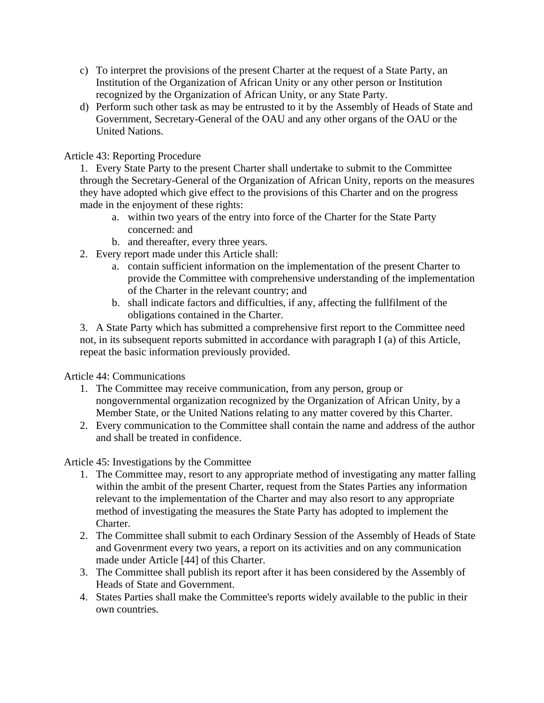- c) To interpret the provisions of the present Charter at the request of a State Party, an Institution of the Organization of African Unity or any other person or Institution recognized by the Organization of African Unity, or any State Party.
- d) Perform such other task as may be entrusted to it by the Assembly of Heads of State and Government, Secretary-General of the OAU and any other organs of the OAU or the United Nations.

# Article 43: Reporting Procedure

1. Every State Party to the present Charter shall undertake to submit to the Committee through the Secretary-General of the Organization of African Unity, reports on the measures they have adopted which give effect to the provisions of this Charter and on the progress made in the enjoyment of these rights:

- a. within two years of the entry into force of the Charter for the State Party concerned: and
- b. and thereafter, every three years.
- 2. Every report made under this Article shall:
	- a. contain sufficient information on the implementation of the present Charter to provide the Committee with comprehensive understanding of the implementation of the Charter in the relevant country; and
	- b. shall indicate factors and difficulties, if any, affecting the fullfilment of the obligations contained in the Charter.

3. A State Party which has submitted a comprehensive first report to the Committee need not, in its subsequent reports submitted in accordance with paragraph I (a) of this Article, repeat the basic information previously provided.

Article 44: Communications

- 1. The Committee may receive communication, from any person, group or nongovernmental organization recognized by the Organization of African Unity, by a Member State, or the United Nations relating to any matter covered by this Charter.
- 2. Every communication to the Committee shall contain the name and address of the author and shall be treated in confidence.

Article 45: Investigations by the Committee

- 1. The Committee may, resort to any appropriate method of investigating any matter falling within the ambit of the present Charter, request from the States Parties any information relevant to the implementation of the Charter and may also resort to any appropriate method of investigating the measures the State Party has adopted to implement the Charter.
- 2. The Committee shall submit to each Ordinary Session of the Assembly of Heads of State and Govenrment every two years, a report on its activities and on any communication made under Article [44] of this Charter.
- 3. The Committee shall publish its report after it has been considered by the Assembly of Heads of State and Government.
- 4. States Parties shall make the Committee's reports widely available to the public in their own countries.